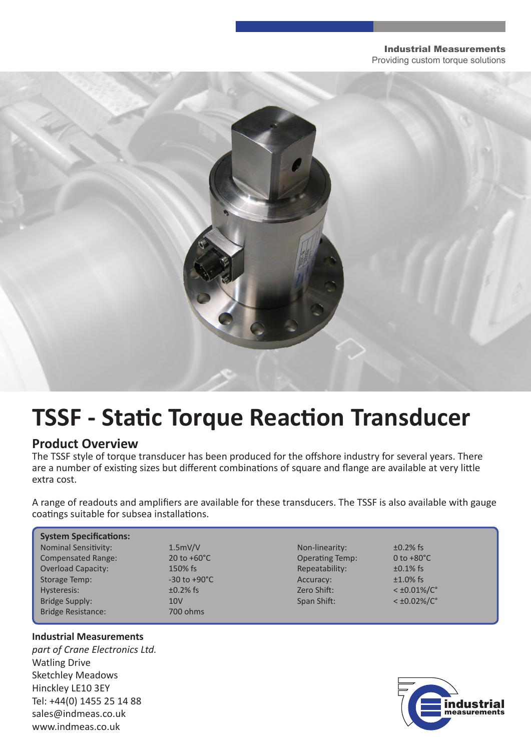#### Industrial Measurements

Providing custom torque solutions



# **TSSF - Static Torque Reaction Transducer**

### **Product Overview**

The TSSF style of torque transducer has been produced for the offshore industry for several years. There are a number of existing sizes but different combinations of square and flange are available at very little extra cost.

A range of readouts and amplifiers are available for these transducers. The TSSF is also available with gauge coatings suitable for subsea installations.

| <b>System Specifications:</b> |                                |                        |                         |  |  |
|-------------------------------|--------------------------------|------------------------|-------------------------|--|--|
| <b>Nominal Sensitivity:</b>   | 1.5mV/V                        | Non-linearity:         | $\pm 0.2\%$ fs          |  |  |
| <b>Compensated Range:</b>     | $20 \text{ to } +60^{\circ}$ C | <b>Operating Temp:</b> | 0 to $+80^{\circ}$ C    |  |  |
| <b>Overload Capacity:</b>     | 150% fs                        | Repeatability:         | $\pm 0.1\%$ fs          |  |  |
| Storage Temp:                 | $-30$ to $+90^{\circ}$ C       | Accuracy:              | $±1.0\%$ fs             |  |  |
| Hysteresis:                   | $\pm 0.2\%$ fs                 | Zero Shift:            | $<$ ±0.01%/ $C^{\circ}$ |  |  |
| Bridge Supply:                | 10 <sub>V</sub>                | Span Shift:            | $<$ ±0.02%/ $C^{\circ}$ |  |  |
| <b>Bridge Resistance:</b>     | 700 ohms                       |                        |                         |  |  |

#### **Industrial Measurements**

*part of Crane Electronics Ltd.* Watling Drive Sketchley Meadows Hinckley LE10 3EY Tel: +44(0) 1455 25 14 88 sales@indmeas.co.uk www.indmeas.co.uk